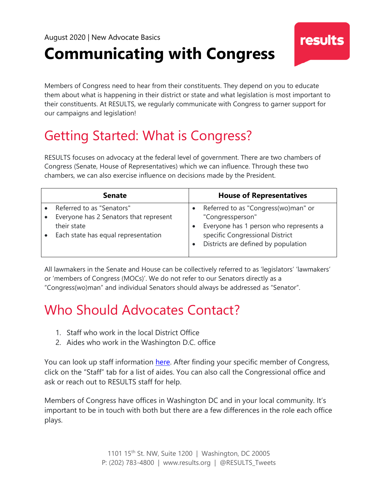# **Communicating with Congress**

Members of Congress need to hear from their constituents. They depend on you to educate them about what is happening in their district or state and what legislation is most important to their constituents. At RESULTS, we regularly communicate with Congress to garner support for our campaigns and legislation!

**results** 

## Getting Started: What is Congress?

RESULTS focuses on advocacy at the federal level of government. There are two chambers of Congress (Senate, House of Representatives) which we can influence. Through these two chambers, we can also exercise influence on decisions made by the President.

| <b>Senate</b>                          |           | <b>House of Representatives</b>        |
|----------------------------------------|-----------|----------------------------------------|
| Referred to as "Senators"              |           | Referred to as "Congress(wo)man" or    |
| Everyone has 2 Senators that represent |           | "Congressperson"                       |
| their state                            |           | Everyone has 1 person who represents a |
| Each state has equal representation    |           | specific Congressional District        |
|                                        | $\bullet$ | Districts are defined by population    |
|                                        |           |                                        |

All lawmakers in the Senate and House can be collectively referred to as 'legislators' 'lawmakers' or 'members of Congress (MOCs)'. We do not refer to our Senators directly as a "Congress(wo)man" and individual Senators should always be addressed as "Senator".

## Who Should Advocates Contact?

- 1. Staff who work in the local District Office
- 2. Aides who work in the Washington D.C. office

You can look up staff information [here.](https://results.org/volunteers/action-center/legislator-lookup/?vvsrc=%2fAddress) After finding your specific member of Congress, click on the "Staff" tab for a list of aides. You can also call the Congressional office and ask or reach out to RESULTS staff for help.

Members of Congress have offices in Washington DC and in your local community. It's important to be in touch with both but there are a few differences in the role each office plays.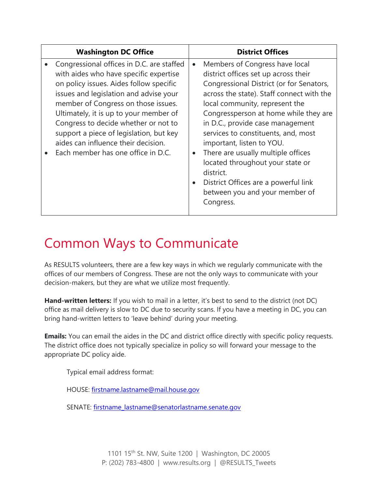| <b>Washington DC Office</b>                                                                                                                                                                                                                                                                                                                                                                                               |           | <b>District Offices</b>                                                                                                                                                                                                                                                                                                                                                                                                                                                                                                          |
|---------------------------------------------------------------------------------------------------------------------------------------------------------------------------------------------------------------------------------------------------------------------------------------------------------------------------------------------------------------------------------------------------------------------------|-----------|----------------------------------------------------------------------------------------------------------------------------------------------------------------------------------------------------------------------------------------------------------------------------------------------------------------------------------------------------------------------------------------------------------------------------------------------------------------------------------------------------------------------------------|
| Congressional offices in D.C. are staffed<br>with aides who have specific expertise<br>on policy issues. Aides follow specific<br>issues and legislation and advise your<br>member of Congress on those issues.<br>Ultimately, it is up to your member of<br>Congress to decide whether or not to<br>support a piece of legislation, but key<br>aides can influence their decision.<br>Each member has one office in D.C. | $\bullet$ | Members of Congress have local<br>district offices set up across their<br>Congressional District (or for Senators,<br>across the state). Staff connect with the<br>local community, represent the<br>Congressperson at home while they are<br>in D.C., provide case management<br>services to constituents, and, most<br>important, listen to YOU.<br>There are usually multiple offices<br>located throughout your state or<br>district.<br>District Offices are a powerful link<br>between you and your member of<br>Congress. |

### Common Ways to Communicate

As RESULTS volunteers, there are a few key ways in which we regularly communicate with the offices of our members of Congress. These are not the only ways to communicate with your decision-makers, but they are what we utilize most frequently.

**Hand-written letters:** If you wish to mail in a letter, it's best to send to the district (not DC) office as mail delivery is slow to DC due to security scans. If you have a meeting in DC, you can bring hand-written letters to 'leave behind' during your meeting.

**Emails:** You can email the aides in the DC and district office directly with specific policy requests. The district office does not typically specialize in policy so will forward your message to the appropriate DC policy aide.

Typical email address format:

HOUSE: [firstname.lastname@mail.house.gov](mailto:firstname.lastname@mail.house.gov)

SENATE: [firstname\\_lastname@senatorlastname.senate.gov](mailto:firstname_lastname@senatorlastname.senate.gov)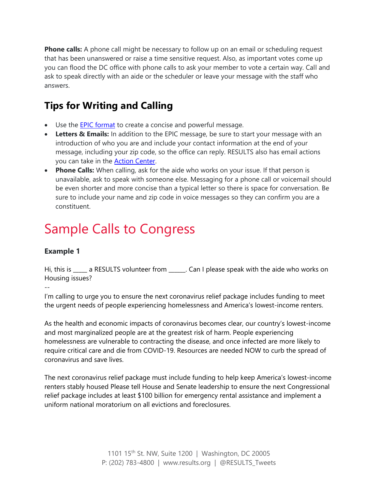**Phone calls:** A phone call might be necessary to follow up on an email or scheduling request that has been unanswered or raise a time sensitive request. Also, as important votes come up you can flood the DC office with phone calls to ask your member to vote a certain way. Call and ask to speak directly with an aide or the scheduler or leave your message with the staff who answers.

### **Tips for Writing and Calling**

- Use the **EPIC format** to create a concise and powerful message.
- **Letters & Emails:** In addition to the EPIC message, be sure to start your message with an introduction of who you are and include your contact information at the end of your message, including your zip code, so the office can reply. RESULTS also has email actions you can take in the [Action Center.](https://results.org/volunteers/action-center/)
- **Phone Calls:** When calling, ask for the aide who works on your issue. If that person is unavailable, ask to speak with someone else. Messaging for a phone call or voicemail should be even shorter and more concise than a typical letter so there is space for conversation. Be sure to include your name and zip code in voice messages so they can confirm you are a constituent.

### Sample Calls to Congress

### **Example 1**

Hi, this is \_\_\_\_\_ a RESULTS volunteer from \_\_\_\_\_\_. Can I please speak with the aide who works on Housing issues?

--

I'm calling to urge you to ensure the next coronavirus relief package includes funding to meet the urgent needs of people experiencing homelessness and America's lowest-income renters.

As the health and economic impacts of coronavirus becomes clear, our country's lowest-income and most marginalized people are at the greatest risk of harm. People experiencing homelessness are vulnerable to contracting the disease, and once infected are more likely to require critical care and die from COVID-19. Resources are needed NOW to curb the spread of coronavirus and save lives.

The next coronavirus relief package must include funding to help keep America's lowest-income renters stably housed Please tell House and Senate leadership to ensure the next Congressional relief package includes at least \$100 billion for emergency rental assistance and implement a uniform national moratorium on all evictions and foreclosures.